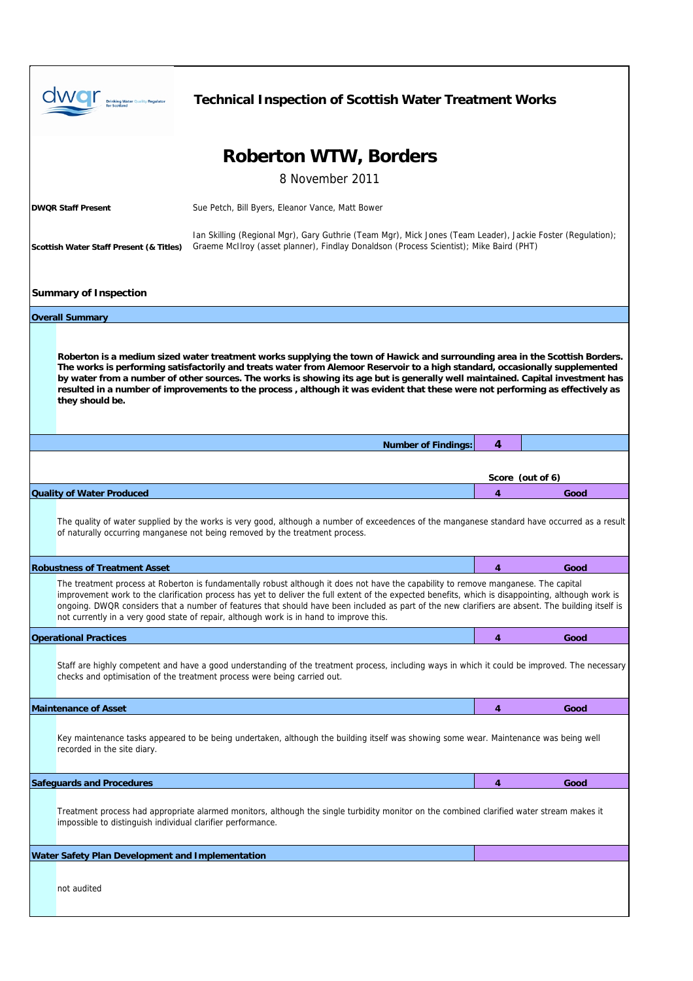| <b>Drinking Water Quality Regulator</b><br>for Scotland                                                                                                                                                                                                                                                                                                                                                                                                                                                                                           | <b>Technical Inspection of Scottish Water Treatment Works</b>                                                                                                                                                                 |   |                  |  |  |  |
|---------------------------------------------------------------------------------------------------------------------------------------------------------------------------------------------------------------------------------------------------------------------------------------------------------------------------------------------------------------------------------------------------------------------------------------------------------------------------------------------------------------------------------------------------|-------------------------------------------------------------------------------------------------------------------------------------------------------------------------------------------------------------------------------|---|------------------|--|--|--|
| <b>Roberton WTW, Borders</b><br>8 November 2011                                                                                                                                                                                                                                                                                                                                                                                                                                                                                                   |                                                                                                                                                                                                                               |   |                  |  |  |  |
| <b>DWQR Staff Present</b>                                                                                                                                                                                                                                                                                                                                                                                                                                                                                                                         | Sue Petch, Bill Byers, Eleanor Vance, Matt Bower                                                                                                                                                                              |   |                  |  |  |  |
| Scottish Water Staff Present (& Titles)                                                                                                                                                                                                                                                                                                                                                                                                                                                                                                           | lan Skilling (Regional Mgr), Gary Guthrie (Team Mgr), Mick Jones (Team Leader), Jackie Foster (Regulation);<br>Graeme McIlroy (asset planner), Findlay Donaldson (Process Scientist); Mike Baird (PHT)                        |   |                  |  |  |  |
| <b>Summary of Inspection</b>                                                                                                                                                                                                                                                                                                                                                                                                                                                                                                                      |                                                                                                                                                                                                                               |   |                  |  |  |  |
| <b>Overall Summary</b>                                                                                                                                                                                                                                                                                                                                                                                                                                                                                                                            |                                                                                                                                                                                                                               |   |                  |  |  |  |
| Roberton is a medium sized water treatment works supplying the town of Hawick and surrounding area in the Scottish Borders.<br>The works is performing satisfactorily and treats water from Alemoor Reservoir to a high standard, occasionally supplemented<br>by water from a number of other sources. The works is showing its age but is generally well maintained. Capital investment has<br>resulted in a number of improvements to the process, although it was evident that these were not performing as effectively as<br>they should be. |                                                                                                                                                                                                                               |   |                  |  |  |  |
|                                                                                                                                                                                                                                                                                                                                                                                                                                                                                                                                                   | <b>Number of Findings:</b>                                                                                                                                                                                                    | 4 |                  |  |  |  |
|                                                                                                                                                                                                                                                                                                                                                                                                                                                                                                                                                   |                                                                                                                                                                                                                               |   | Score (out of 6) |  |  |  |
| <b>Quality of Water Produced</b>                                                                                                                                                                                                                                                                                                                                                                                                                                                                                                                  |                                                                                                                                                                                                                               | 4 | Good             |  |  |  |
|                                                                                                                                                                                                                                                                                                                                                                                                                                                                                                                                                   | The quality of water supplied by the works is very good, although a number of exceedences of the manganese standard have occurred as a result<br>of naturally occurring manganese not being removed by the treatment process. |   |                  |  |  |  |
| <b>Robustness of Treatment Asset</b>                                                                                                                                                                                                                                                                                                                                                                                                                                                                                                              |                                                                                                                                                                                                                               | 4 | Good             |  |  |  |
| The treatment process at Roberton is fundamentally robust although it does not have the capability to remove manganese. The capital<br>improvement work to the clarification process has yet to deliver the full extent of the expected benefits, which is disappointing, although work is<br>ongoing. DWQR considers that a number of features that should have been included as part of the new clarifiers are absent. The building itself is<br>not currently in a very good state of repair, although work is in hand to improve this.        |                                                                                                                                                                                                                               |   |                  |  |  |  |
| <b>Operational Practices</b>                                                                                                                                                                                                                                                                                                                                                                                                                                                                                                                      |                                                                                                                                                                                                                               | 4 | Good             |  |  |  |
|                                                                                                                                                                                                                                                                                                                                                                                                                                                                                                                                                   | Staff are highly competent and have a good understanding of the treatment process, including ways in which it could be improved. The necessary<br>checks and optimisation of the treatment process were being carried out.    |   |                  |  |  |  |
| <b>Maintenance of Asset</b>                                                                                                                                                                                                                                                                                                                                                                                                                                                                                                                       |                                                                                                                                                                                                                               | 4 | Good             |  |  |  |
| recorded in the site diary.                                                                                                                                                                                                                                                                                                                                                                                                                                                                                                                       | Key maintenance tasks appeared to be being undertaken, although the building itself was showing some wear. Maintenance was being well                                                                                         |   |                  |  |  |  |
| <b>Safeguards and Procedures</b>                                                                                                                                                                                                                                                                                                                                                                                                                                                                                                                  |                                                                                                                                                                                                                               | 4 | Good             |  |  |  |
| impossible to distinguish individual clarifier performance.                                                                                                                                                                                                                                                                                                                                                                                                                                                                                       | Treatment process had appropriate alarmed monitors, although the single turbidity monitor on the combined clarified water stream makes it                                                                                     |   |                  |  |  |  |
| Water Safety Plan Development and Implementation                                                                                                                                                                                                                                                                                                                                                                                                                                                                                                  |                                                                                                                                                                                                                               |   |                  |  |  |  |
| not audited                                                                                                                                                                                                                                                                                                                                                                                                                                                                                                                                       |                                                                                                                                                                                                                               |   |                  |  |  |  |

Г